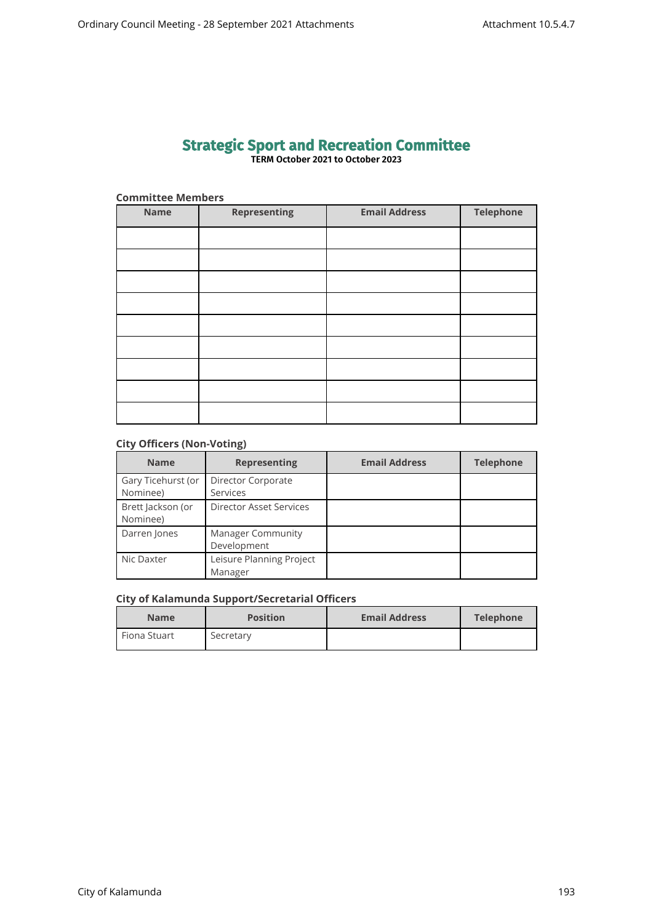## **Strategic Sport and Recreation Committee TERM October 2021 to October 2023**

| <b>Committee Members</b> |                     |                      |                  |  |  |
|--------------------------|---------------------|----------------------|------------------|--|--|
| <b>Name</b>              | <b>Representing</b> | <b>Email Address</b> | <b>Telephone</b> |  |  |
|                          |                     |                      |                  |  |  |
|                          |                     |                      |                  |  |  |
|                          |                     |                      |                  |  |  |
|                          |                     |                      |                  |  |  |
|                          |                     |                      |                  |  |  |
|                          |                     |                      |                  |  |  |
|                          |                     |                      |                  |  |  |
|                          |                     |                      |                  |  |  |
|                          |                     |                      |                  |  |  |

## **City Officers (Non-Voting)**

| <b>Name</b>        | <b>Representing</b>            | <b>Email Address</b> | <b>Telephone</b> |
|--------------------|--------------------------------|----------------------|------------------|
| Gary Ticehurst (or | Director Corporate             |                      |                  |
| Nominee)           | <b>Services</b>                |                      |                  |
| Brett Jackson (or  | <b>Director Asset Services</b> |                      |                  |
| Nominee)           |                                |                      |                  |
| Darren Jones       | <b>Manager Community</b>       |                      |                  |
|                    | Development                    |                      |                  |
| Nic Daxter         | Leisure Planning Project       |                      |                  |
|                    | Manager                        |                      |                  |

## **City of Kalamunda Support/Secretarial Officers**

| <b>Name</b>    | <b>Position</b> | <b>Email Address</b> | Telephone |
|----------------|-----------------|----------------------|-----------|
| l Fiona Stuart | Secretary       |                      |           |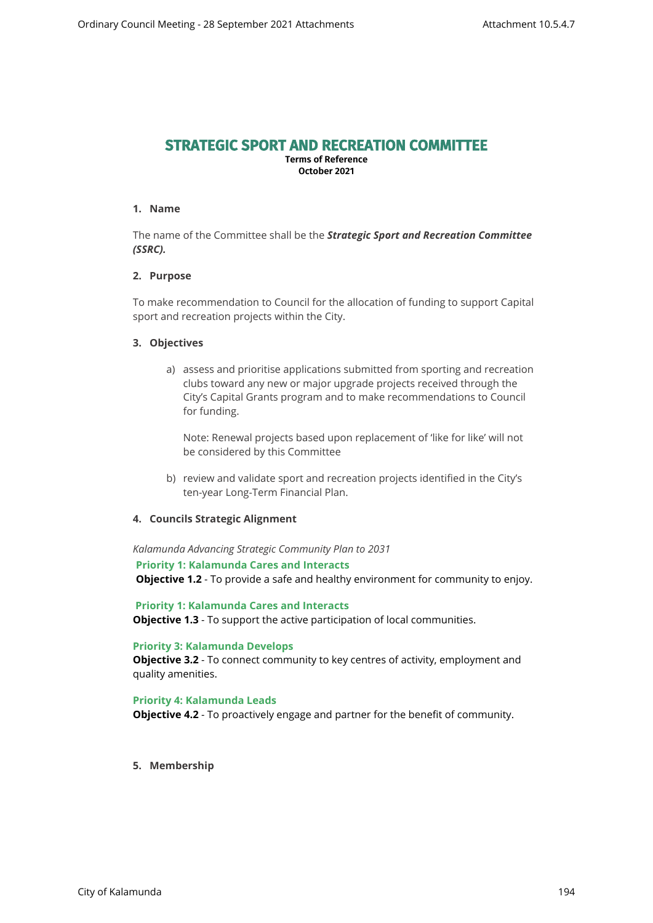# **STRATEGIC SPORT AND RECREATION COMMITTEE**

**Terms of Reference October 2021**

## **1. Name**

The name of the Committee shall be the *Strategic Sport and Recreation Committee (SSRC).*

## **2. Purpose**

To make recommendation to Council for the allocation of funding to support Capital sport and recreation projects within the City.

#### **3. Objectives**

a) assess and prioritise applications submitted from sporting and recreation clubs toward any new or major upgrade projects received through the City's Capital Grants program and to make recommendations to Council for funding.

Note: Renewal projects based upon replacement of 'like for like' will not be considered by this Committee

b) review and validate sport and recreation projects identified in the City's ten-year Long-Term Financial Plan.

#### **4. Councils Strategic Alignment**

*Kalamunda Advancing Strategic Community Plan to 2031* 

**Priority 1: Kalamunda Cares and Interacts**

**Objective 1.2** - To provide a safe and healthy environment for community to enjoy.

 **Priority 1: Kalamunda Cares and Interacts Objective 1.3** - To support the active participation of local communities.

#### **Priority 3: Kalamunda Develops**

**Objective 3.2** - To connect community to key centres of activity, employment and quality amenities.

#### **Priority 4: Kalamunda Leads**

**Objective 4.2** - To proactively engage and partner for the benefit of community.

**5. Membership**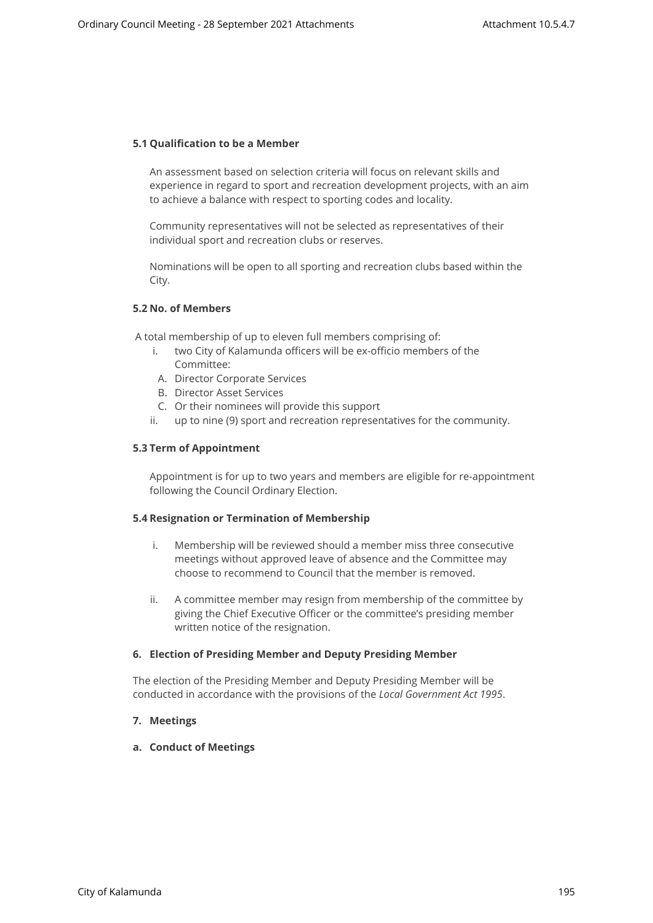#### **5.1 Qualification to be a Member**

An assessment based on selection criteria will focus on relevant skills and experience in regard to sport and recreation development projects, with an aim to achieve a balance with respect to sporting codes and locality.

Community representatives will not be selected as representatives of their individual sport and recreation clubs or reserves.

Nominations will be open to all sporting and recreation clubs based within the City.

## **5.2 No. of Members**

A total membership of up to eleven full members comprising of:

- i. two City of Kalamunda officers will be ex-officio members of the Committee:
- A. Director Corporate Services
- B. Director Asset Services
- C. Or their nominees will provide this support
- ii. up to nine (9) sport and recreation representatives for the community.

#### **5.3 Term of Appointment**

Appointment is for up to two years and members are eligible for re-appointment following the Council Ordinary Election.

#### **5.4 Resignation or Termination of Membership**

- i. Membership will be reviewed should a member miss three consecutive meetings without approved leave of absence and the Committee may choose to recommend to Council that the member is removed.
- ii. A committee member may resign from membership of the committee by giving the Chief Executive Officer or the committee's presiding member written notice of the resignation.

#### **6. Election of Presiding Member and Deputy Presiding Member**

The election of the Presiding Member and Deputy Presiding Member will be conducted in accordance with the provisions of the *Local Government Act 1995*.

## **7. Meetings**

**a. Conduct of Meetings**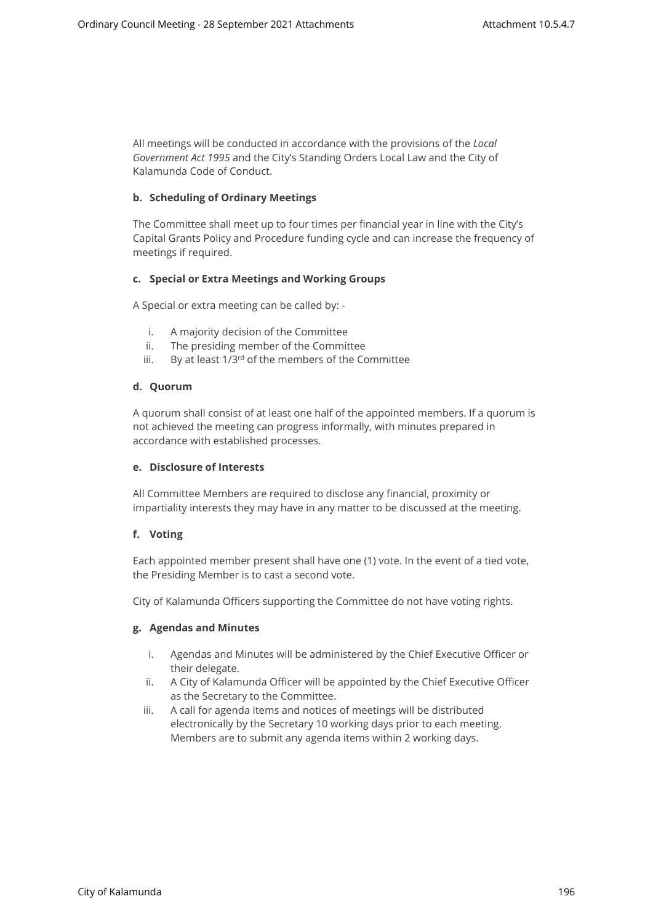All meetings will be conducted in accordance with the provisions of the *Local Government Act 1995* and the City's Standing Orders Local Law and the City of Kalamunda Code of Conduct.

## **b. Scheduling of Ordinary Meetings**

The Committee shall meet up to four times per financial year in line with the City's Capital Grants Policy and Procedure funding cycle and can increase the frequency of meetings if required.

#### **c. Special or Extra Meetings and Working Groups**

A Special or extra meeting can be called by: -

- i. A majority decision of the Committee
- ii. The presiding member of the Committee
- iii. By at least 1/3rd of the members of the Committee

#### **d. Quorum**

A quorum shall consist of at least one half of the appointed members. If a quorum is not achieved the meeting can progress informally, with minutes prepared in accordance with established processes.

#### **e. Disclosure of Interests**

All Committee Members are required to disclose any financial, proximity or impartiality interests they may have in any matter to be discussed at the meeting.

## **f. Voting**

Each appointed member present shall have one (1) vote. In the event of a tied vote, the Presiding Member is to cast a second vote.

City of Kalamunda Officers supporting the Committee do not have voting rights.

#### **g. Agendas and Minutes**

- i. Agendas and Minutes will be administered by the Chief Executive Officer or their delegate.
- ii. A City of Kalamunda Officer will be appointed by the Chief Executive Officer as the Secretary to the Committee.
- iii. A call for agenda items and notices of meetings will be distributed electronically by the Secretary 10 working days prior to each meeting. Members are to submit any agenda items within 2 working days.